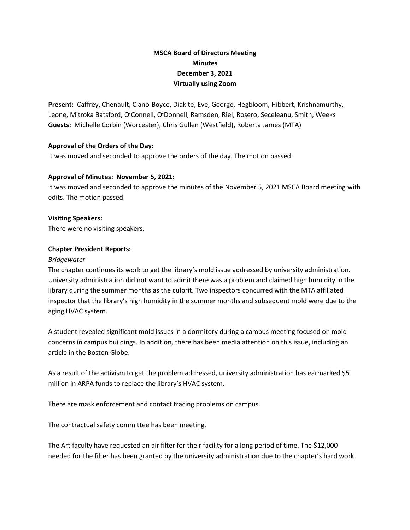# **MSCA Board of Directors Meeting Minutes December 3, 2021 Virtually using Zoom**

**Present:** Caffrey, Chenault, Ciano-Boyce, Diakite, Eve, George, Hegbloom, Hibbert, Krishnamurthy, Leone, Mitroka Batsford, O'Connell, O'Donnell, Ramsden, Riel, Rosero, Seceleanu, Smith, Weeks **Guests:** Michelle Corbin (Worcester), Chris Gullen (Westfield), Roberta James (MTA)

# **Approval of the Orders of the Day:**

It was moved and seconded to approve the orders of the day. The motion passed.

# **Approval of Minutes: November 5, 2021:**

It was moved and seconded to approve the minutes of the November 5, 2021 MSCA Board meeting with edits. The motion passed.

# **Visiting Speakers:**

There were no visiting speakers.

# **Chapter President Reports:**

# *Bridgewater*

The chapter continues its work to get the library's mold issue addressed by university administration. University administration did not want to admit there was a problem and claimed high humidity in the library during the summer months as the culprit. Two inspectors concurred with the MTA affiliated inspector that the library's high humidity in the summer months and subsequent mold were due to the aging HVAC system.

A student revealed significant mold issues in a dormitory during a campus meeting focused on mold concerns in campus buildings. In addition, there has been media attention on this issue, including an article in the Boston Globe.

As a result of the activism to get the problem addressed, university administration has earmarked \$5 million in ARPA funds to replace the library's HVAC system.

There are mask enforcement and contact tracing problems on campus.

The contractual safety committee has been meeting.

The Art faculty have requested an air filter for their facility for a long period of time. The \$12,000 needed for the filter has been granted by the university administration due to the chapter's hard work.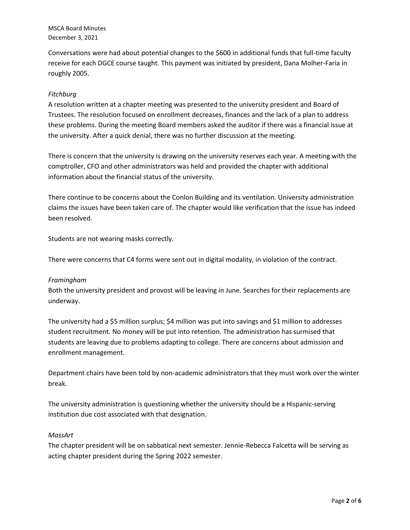Conversations were had about potential changes to the \$600 in additional funds that full-time faculty receive for each DGCE course taught. This payment was initiated by president, Dana Molher-Faria in roughly 2005.

# *Fitchburg*

A resolution written at a chapter meeting was presented to the university president and Board of Trustees. The resolution focused on enrollment decreases, finances and the lack of a plan to address these problems. During the meeting Board members asked the auditor if there was a financial issue at the university. After a quick denial, there was no further discussion at the meeting.

There is concern that the university is drawing on the university reserves each year. A meeting with the comptroller, CFO and other administrators was held and provided the chapter with additional information about the financial status of the university.

There continue to be concerns about the Conlon Building and its ventilation. University administration claims the issues have been taken care of. The chapter would like verification that the issue has indeed been resolved.

Students are not wearing masks correctly.

There were concerns that C4 forms were sent out in digital modality, in violation of the contract.

### *Framingham*

Both the university president and provost will be leaving in June. Searches for their replacements are underway.

The university had a \$5 million surplus; \$4 million was put into savings and \$1 million to addresses student recruitment. No money will be put into retention. The administration has surmised that students are leaving due to problems adapting to college. There are concerns about admission and enrollment management.

Department chairs have been told by non-academic administrators that they must work over the winter break.

The university administration is questioning whether the university should be a Hispanic-serving institution due cost associated with that designation.

### *MassArt*

The chapter president will be on sabbatical next semester. Jennie-Rebecca Falcetta will be serving as acting chapter president during the Spring 2022 semester.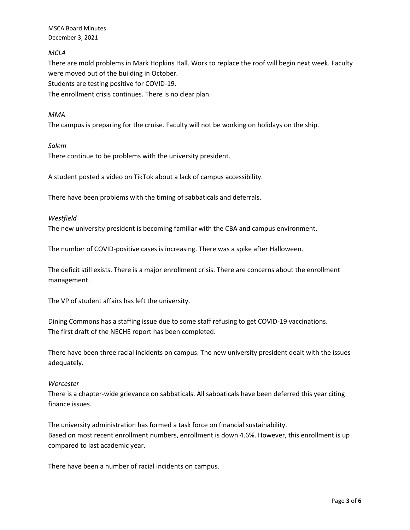# *MCLA*

There are mold problems in Mark Hopkins Hall. Work to replace the roof will begin next week. Faculty were moved out of the building in October.

Students are testing positive for COVID-19.

The enrollment crisis continues. There is no clear plan.

## *MMA*

The campus is preparing for the cruise. Faculty will not be working on holidays on the ship.

## *Salem*

There continue to be problems with the university president.

A student posted a video on TikTok about a lack of campus accessibility.

There have been problems with the timing of sabbaticals and deferrals.

### *Westfield*

The new university president is becoming familiar with the CBA and campus environment.

The number of COVID-positive cases is increasing. There was a spike after Halloween.

The deficit still exists. There is a major enrollment crisis. There are concerns about the enrollment management.

The VP of student affairs has left the university.

Dining Commons has a staffing issue due to some staff refusing to get COVID-19 vaccinations. The first draft of the NECHE report has been completed.

There have been three racial incidents on campus. The new university president dealt with the issues adequately.

# *Worcester*

There is a chapter-wide grievance on sabbaticals. All sabbaticals have been deferred this year citing finance issues.

The university administration has formed a task force on financial sustainability. Based on most recent enrollment numbers, enrollment is down 4.6%. However, this enrollment is up compared to last academic year.

There have been a number of racial incidents on campus.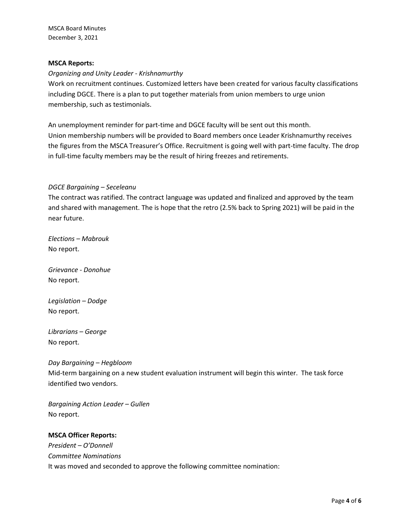## **MSCA Reports:**

## *Organizing and Unity Leader - Krishnamurthy*

Work on recruitment continues. Customized letters have been created for various faculty classifications including DGCE. There is a plan to put together materials from union members to urge union membership, such as testimonials.

An unemployment reminder for part-time and DGCE faculty will be sent out this month. Union membership numbers will be provided to Board members once Leader Krishnamurthy receives the figures from the MSCA Treasurer's Office. Recruitment is going well with part-time faculty. The drop in full-time faculty members may be the result of hiring freezes and retirements.

# *DGCE Bargaining – Seceleanu*

The contract was ratified. The contract language was updated and finalized and approved by the team and shared with management. The is hope that the retro (2.5% back to Spring 2021) will be paid in the near future.

*Elections – Mabrouk* No report.

*Grievance - Donohue* No report.

*Legislation – Dodge* No report.

*Librarians – George* No report.

*Day Bargaining – Hegbloom* Mid-term bargaining on a new student evaluation instrument will begin this winter. The task force identified two vendors.

*Bargaining Action Leader – Gullen* No report.

# **MSCA Officer Reports:**

*President – O'Donnell Committee Nominations* It was moved and seconded to approve the following committee nomination: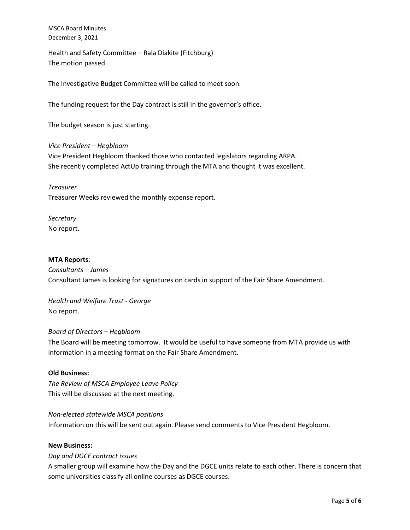Health and Safety Committee – Rala Diakite (Fitchburg) The motion passed.

The Investigative Budget Committee will be called to meet soon.

The funding request for the Day contract is still in the governor's office.

The budget season is just starting.

*Vice President – Hegbloom* Vice President Hegbloom thanked those who contacted legislators regarding ARPA. She recently completed ActUp training through the MTA and thought it was excellent.

*Treasurer* Treasurer Weeks reviewed the monthly expense report.

*Secretary* No report.

## **MTA Reports**:

*Consultants – James*  Consultant James is looking for signatures on cards in support of the Fair Share Amendment.

*Health and Welfare Trust - George* No report.

### *Board of Directors – Hegbloom*

The Board will be meeting tomorrow. It would be useful to have someone from MTA provide us with information in a meeting format on the Fair Share Amendment.

### **Old Business:**

*The Review of MSCA Employee Leave Policy* This will be discussed at the next meeting.

*Non-elected statewide MSCA positions*

Information on this will be sent out again. Please send comments to Vice President Hegbloom.

### **New Business:**

### *Day and DGCE contract issues*

A smaller group will examine how the Day and the DGCE units relate to each other. There is concern that some universities classify all online courses as DGCE courses.